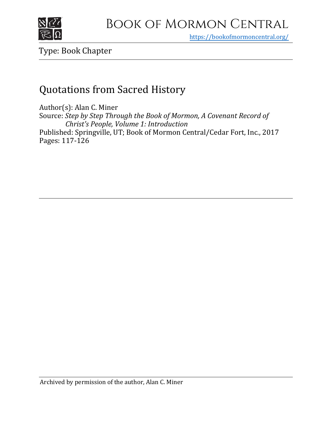

https[://bookofmormoncentral.org/](https://bookofmormoncentral.org/)

Type: Book Chapter

# Quotations from Sacred History

Author(s): Alan C. Miner Source: *Step by Step Through the Book of Mormon, A Covenant Record of Christ's People, Volume 1: Introduction* Published: Springville, UT; Book of Mormon Central/Cedar Fort, Inc., 2017 Pages: 117-126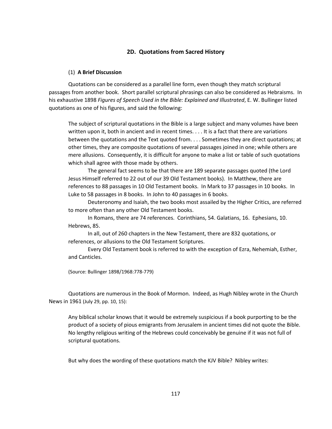### **2D. Quotations from Sacred History**

#### (1) **A Brief Discussion**

Quotations can be considered as a parallel line form, even though they match scriptural passages from another book. Short parallel scriptural phrasings can also be considered as Hebraisms. In his exhaustive 1898 *Figures of Speech Used in the Bible: Explained and Illustrated*, E. W. Bullinger listed quotations as one of his figures, and said the following:

The subject of scriptural quotations in the Bible is a large subject and many volumes have been written upon it, both in ancient and in recent times. . . . It is a fact that there are variations between the quotations and the Text quoted from. . . . Sometimes they are direct quotations; at other times, they are composite quotations of several passages joined in one; while others are mere allusions. Consequently, it is difficult for anyone to make a list or table of such quotations which shall agree with those made by others.

The general fact seems to be that there are 189 separate passages quoted (the Lord Jesus Himself referred to 22 out of our 39 Old Testament books). In Matthew, there are references to 88 passages in 10 Old Testament books. In Mark to 37 passages in 10 books. In Luke to 58 passages in 8 books. In John to 40 passages in 6 books.

Deuteronomy and Isaiah, the two books most assailed by the Higher Critics, are referred to more often than any other Old Testament books.

In Romans, there are 74 references. Corinthians, 54. Galatians, 16. Ephesians, 10. Hebrews, 85.

In all, out of 260 chapters in the New Testament, there are 832 quotations, or references, or allusions to the Old Testament Scriptures.

Every Old Testament book is referred to with the exception of Ezra, Nehemiah, Esther, and Canticles.

(Source: Bullinger 1898/1968:778-779)

Quotations are numerous in the Book of Mormon. Indeed, as Hugh Nibley wrote in the Church News in 1961 (July 29, pp. 10, 15):

Any biblical scholar knows that it would be extremely suspicious if a book purporting to be the product of a society of pious emigrants from Jerusalem in ancient times did not quote the Bible. No lengthy religious writing of the Hebrews could conceivably be genuine if it was not full of scriptural quotations.

But why does the wording of these quotations match the KJV Bible? Nibley writes: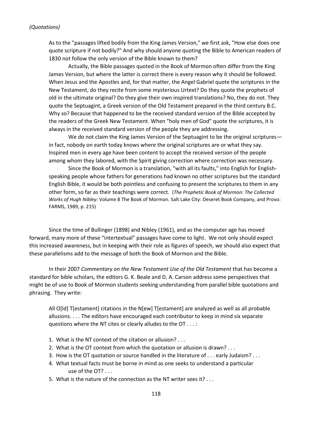As to the "passages lifted bodily from the King James Version," we first ask, "How else does one quote scripture if not bodily?" And why should anyone quoting the Bible to American readers of 1830 not follow the only version of the Bible known to them?

Actually, the Bible passages quoted in the Book of Mormon often differ from the King James Version, but where the latter is correct there is every reason why it should be followed. When Jesus and the Apostles and, for that matter, the Angel Gabriel quote the scriptures in the New Testament, do they recite from some mysterious Urtext? Do they quote the prophets of old in the ultimate original? Do they give their own inspired translations? No, they do not. They quote the Septuagint, a Greek version of the Old Testament prepared in the third century B.C. Why so? Because that happened to be the received standard version of the Bible accepted by the readers of the Greek New Testament. When "holy men of God" quote the scriptures, it is always in the received standard version of the people they are addressing.

We do not claim the King James Version of the Septuagint to be the original scriptures in fact, nobody on earth today knows where the original scriptures are or what they say. Inspired men in every age have been content to accept the received version of the people among whom they labored, with the Spirit giving correction where correction was necessary.

Since the Book of Mormon is a translation, "with all its faults," into English for Englishspeaking people whose fathers for generations had known no other scriptures but the standard English Bible, it would be both pointless and confusing to present the scriptures to them in any other form, so far as their teachings were correct. (*The Prophetic Book of Mormon: The Collected Works of Hugh Nibley*: Volume 8 The Book of Mormon. Salt Lake City: Deseret Book Company, and Provo: FARMS, 1989, p. 215)

Since the time of Bullinger (1898) and Nibley (1961), and as the computer age has moved forward, many more of these "intertextual" passages have come to light. We not only should expect this increased awareness, but in keeping with their role as figures of speech, we should also expect that these parallelisms add to the message of both the Book of Mormon and the Bible.

In their 2007 *Commentary on the New Testament Use of the Old Testament* that has become a standard for bible scholars, the editors G. K. Beale and D. A. Carson address some perspectives that might be of use to Book of Mormon students seeking understanding from parallel bible quotations and phrasing. They write:

All O[ld] T[estament] citations in the N[ew] T[estament] are analyzed as well as all probable allusions. . . . The editors have encouraged each contributor to keep in mind six separate questions where the NT cites or clearly alludes to the OT . . . :

- 1. What is the NT context of the citation or allusion? . . .
- 2. What is the OT context from which the quotation or allusion is drawn? . . .
- 3. How is the OT quotation or source handled in the literature of . . . early Judaism? . . .
- 4. What textual facts must be borne in mind as one seeks to understand a particular use of the OT? . . .
- 5. What is the nature of the connection as the NT writer sees it? . . .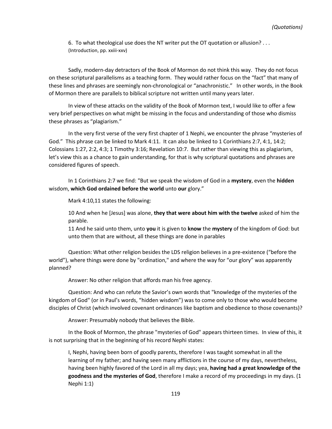6. To what theological use does the NT writer put the OT quotation or allusion? . . . (Introduction, pp. xxiii-xxv)

Sadly, modern-day detractors of the Book of Mormon do not think this way. They do not focus on these scriptural parallelisms as a teaching form. They would rather focus on the "fact" that many of these lines and phrases are seemingly non-chronological or "anachronistic." In other words, in the Book of Mormon there are parallels to biblical scripture not written until many years later.

In view of these attacks on the validity of the Book of Mormon text, I would like to offer a few very brief perspectives on what might be missing in the focus and understanding of those who dismiss these phrases as "plagiarism."

In the very first verse of the very first chapter of 1 Nephi, we encounter the phrase "mysteries of God." This phrase can be linked to Mark 4:11. It can also be linked to 1 Corinthians 2:7, 4:1, 14:2; Colossians 1:27, 2:2, 4:3; 1 Timothy 3:16; Revelation 10:7. But rather than viewing this as plagiarism, let's view this as a chance to gain understanding, for that is why scriptural quotations and phrases are considered figures of speech.

In 1 Corinthians 2:7 we find: "But we speak the wisdom of God in a **mystery**, even the **hidden** wisdom, **which God ordained before the world** unto **our** glory."

Mark 4:10,11 states the following:

10 And when he [Jesus] was alone, **they that were about him with the twelve** asked of him the parable.

11 And he said unto them, unto **you** it is given to **know** the **mystery** of the kingdom of God: but unto them that are without, all these things are done in parables

Question: What other religion besides the LDS religion believes in a pre-existence ("before the world"), where things were done by "ordination," and where the way for "our glory" was apparently planned?

Answer: No other religion that affords man his free agency.

Question: And who can refute the Savior's own words that "knowledge of the mysteries of the kingdom of God" (or in Paul's words, "hidden wisdom") was to come only to those who would become disciples of Christ (which involved covenant ordinances like baptism and obedience to those covenants)?

Answer: Presumably nobody that believes the Bible.

In the Book of Mormon, the phrase "mysteries of God" appears thirteen times. In view of this, it is not surprising that in the beginning of his record Nephi states:

I, Nephi, having been born of goodly parents, therefore I was taught somewhat in all the learning of my father; and having seen many afflictions in the course of my days, nevertheless, having been highly favored of the Lord in all my days; yea, **having had a great knowledge of the goodness and the mysteries of God**, therefore I make a record of my proceedings in my days. (1 Nephi 1:1)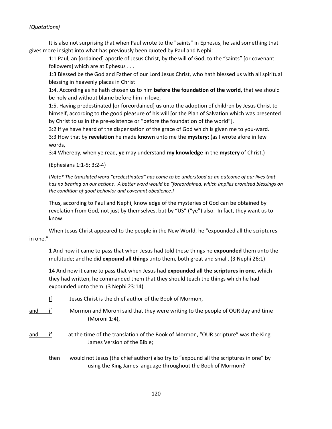It is also not surprising that when Paul wrote to the "saints" in Ephesus, he said something that gives more insight into what has previously been quoted by Paul and Nephi:

1:1 Paul, an [ordained] apostle of Jesus Christ, by the will of God, to the "saints" [or covenant followers] which are at Ephesus . . .

1:3 Blessed be the God and Father of our Lord Jesus Christ, who hath blessed us with all spiritual blessing in heavenly places in Christ

1:4. According as he hath chosen **us** to him **before the foundation of the world**, that we should be holy and without blame before him in love,

1:5. Having predestinated [or foreordained] **us** unto the adoption of children by Jesus Christ to himself, according to the good pleasure of his will [or the Plan of Salvation which was presented by Christ to us in the pre-existence or "before the foundation of the world"].

3:2 If ye have heard of the dispensation of the grace of God which is given me to you-ward. 3:3 How that by **revelation** he made **known** unto me the **mystery**; (as I wrote afore in few words,

3:4 Whereby, when ye read, **ye** may understand **my knowledge** in the **mystery** of Christ.)

(Ephesians 1:1-5; 3:2-4)

*[Note\* The translated word "predestinated" has come to be understood as an outcome of our lives that has no bearing on our actions. A better word would be "foreordained, which implies promised blessings on the condition of good behavior and covenant obedience.]* 

Thus, according to Paul and Nephi, knowledge of the mysteries of God can be obtained by revelation from God, not just by themselves, but by "US" ("ye") also. In fact, they want us to know.

When Jesus Christ appeared to the people in the New World, he "expounded all the scriptures in one."

1 And now it came to pass that when Jesus had told these things he **expounded** them unto the multitude; and he did **expound all things** unto them, both great and small. (3 Nephi 26:1)

14 And now it came to pass that when Jesus had **expounded all the scriptures in one**, which they had written, he commanded them that they should teach the things which he had expounded unto them. (3 Nephi 23:14)

- If Jesus Christ is the chief author of the Book of Mormon,
- and if Mormon and Moroni said that they were writing to the people of OUR day and time (Moroni 1:4),
- and if at the time of the translation of the Book of Mormon, "OUR scripture" was the King James Version of the Bible;
	- then would not Jesus (the chief author) also try to "expound all the scriptures in one" by using the King James language throughout the Book of Mormon?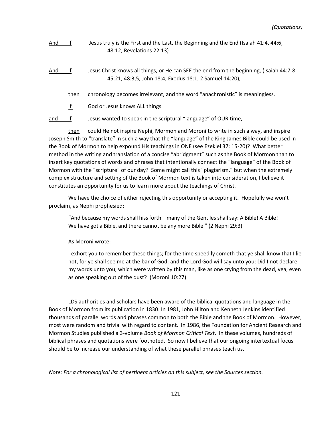- And if Jesus truly is the First and the Last, the Beginning and the End (Isaiah 41:4, 44:6, 48:12, Revelations 22:13)
- And if Jesus Christ knows all things, or He can SEE the end from the beginning, (Isaiah 44:7-8, 45:21, 48:3,5, John 18:4, Exodus 18:1, 2 Samuel 14:20),
	- then chronology becomes irrelevant, and the word "anachronistic" is meaningless.
	- If God or Jesus knows ALL things

and if Jesus wanted to speak in the scriptural "language" of OUR time,

then could He not inspire Nephi, Mormon and Moroni to write in such a way, and inspire Joseph Smith to "translate" in such a way that the "language" of the King James Bible could be used in the Book of Mormon to help expound His teachings in ONE (see Ezekiel 37: 15-20)? What better method in the writing and translation of a concise "abridgment" such as the Book of Mormon than to insert key quotations of words and phrases that intentionally connect the "language" of the Book of Mormon with the "scripture" of our day? Some might call this "plagiarism," but when the extremely complex structure and setting of the Book of Mormon text is taken into consideration, I believe it constitutes an opportunity for us to learn more about the teachings of Christ.

We have the choice of either rejecting this opportunity or accepting it. Hopefully we won't proclaim, as Nephi prophesied:

"And because my words shall hiss forth—many of the Gentiles shall say: A Bible! A Bible! We have got a Bible, and there cannot be any more Bible." (2 Nephi 29:3)

As Moroni wrote:

I exhort you to remember these things; for the time speedily cometh that ye shall know that I lie not, for ye shall see me at the bar of God; and the Lord God will say unto you: Did I not declare my words unto you, which were written by this man, like as one crying from the dead, yea, even as one speaking out of the dust? (Moroni 10:27)

LDS authorities and scholars have been aware of the biblical quotations and language in the Book of Mormon from its publication in 1830. In 1981, John Hilton and Kenneth Jenkins identified thousands of parallel words and phrases common to both the Bible and the Book of Mormon. However, most were random and trivial with regard to content. In 1986, the Foundation for Ancient Research and Mormon Studies published a 3-volume *Book of Mormon Critical Text*. In these volumes, hundreds of biblical phrases and quotations were footnoted. So now I believe that our ongoing intertextual focus should be to increase our understanding of what these parallel phrases teach us.

#### *Note: For a chronological list of pertinent articles on this subject, see the Sources section.*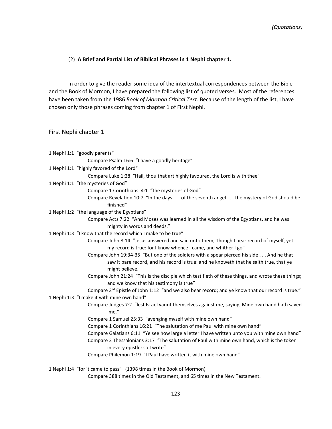#### (2) **A Brief and Partial List of Biblical Phrases in 1 Nephi chapter 1.**

In order to give the reader some idea of the intertextual correspondences between the Bible and the Book of Mormon, I have prepared the following list of quoted verses. Most of the references have been taken from the 1986 *Book of Mormon Critical Text*. Because of the length of the list, I have chosen only those phrases coming from chapter 1 of First Nephi.

#### First Nephi chapter 1

| 1 Nephi 1:1 "goodly parents"                                                                                                                                                                         |
|------------------------------------------------------------------------------------------------------------------------------------------------------------------------------------------------------|
| Compare Psalm 16:6 "I have a goodly heritage"                                                                                                                                                        |
| 1 Nephi 1:1 "highly favored of the Lord"                                                                                                                                                             |
| Compare Luke 1:28 "Hail, thou that art highly favoured, the Lord is with thee"                                                                                                                       |
| 1 Nephi 1:1 "the mysteries of God"                                                                                                                                                                   |
| Compare 1 Corinthians. 4:1 "the mysteries of God"                                                                                                                                                    |
| Compare Revelation 10:7 "In the days of the seventh angel the mystery of God should be<br>finished"                                                                                                  |
| 1 Nephi 1:2 "the language of the Egyptians"                                                                                                                                                          |
| Compare Acts 7:22 "And Moses was learned in all the wisdom of the Egyptians, and he was<br>mighty in words and deeds."                                                                               |
| 1 Nephi 1:3 "I know that the record which I make to be true"                                                                                                                                         |
| Compare John 8:14 "Jesus answered and said unto them, Though I bear record of myself, yet<br>my record is true: for I know whence I came, and whither I go"                                          |
| Compare John 19:34-35 "But one of the soldiers with a spear pierced his side And he that<br>saw it bare record, and his record is true: and he knoweth that he saith true, that ye<br>might believe. |
| Compare John 21:24 "This is the disciple which testifieth of these things, and wrote these things;<br>and we know that his testimony is true"                                                        |
| Compare 3rd Epistle of John 1:12 "and we also bear record; and ye know that our record is true."                                                                                                     |
| 1 Nephi 1:3 "I make it with mine own hand"                                                                                                                                                           |
| Compare Judges 7:2 "lest Israel vaunt themselves against me, saying, Mine own hand hath saved<br>me."                                                                                                |
| Compare 1 Samuel 25:33 "avenging myself with mine own hand"                                                                                                                                          |
| Compare 1 Corinthians 16:21 "The salutation of me Paul with mine own hand"                                                                                                                           |
| Compare Galatians 6:11 "Ye see how large a letter I have written unto you with mine own hand"                                                                                                        |
| Compare 2 Thessalonians 3:17 "The salutation of Paul with mine own hand, which is the token<br>in every epistle: so I write"                                                                         |
| Compare Philemon 1:19 "I Paul have written it with mine own hand"                                                                                                                                    |
| 1 Nephi 1:4 "for it came to pass" (1398 times in the Book of Mormon)                                                                                                                                 |
| Compare 388 times in the Old Testament, and 65 times in the New Testament.                                                                                                                           |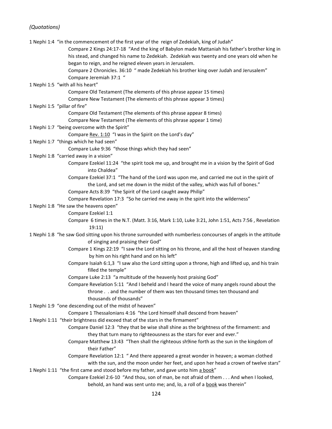|                                                                                    | 1 Nephi 1:4 "in the commencement of the first year of the reign of Zedekiah, king of Judah"                     |  |
|------------------------------------------------------------------------------------|-----------------------------------------------------------------------------------------------------------------|--|
|                                                                                    | Compare 2 Kings 24:17-18 "And the king of Babylon made Mattaniah his father's brother king in                   |  |
|                                                                                    | his stead, and changed his name to Zedekiah. Zedekiah was twenty and one years old when he                      |  |
|                                                                                    | began to reign, and he reigned eleven years in Jerusalem.                                                       |  |
|                                                                                    | Compare 2 Chronicles. 36:10 " made Zedekiah his brother king over Judah and Jerusalem"                          |  |
|                                                                                    | Compare Jeremiah 37:1 "                                                                                         |  |
|                                                                                    | 1 Nephi 1:5 "with all his heart"                                                                                |  |
|                                                                                    | Compare Old Testament (The elements of this phrase appear 15 times)                                             |  |
|                                                                                    | Compare New Testament (The elements of this phrase appear 3 times)                                              |  |
|                                                                                    | 1 Nephi 1:5 "pillar of fire"                                                                                    |  |
|                                                                                    | Compare Old Testament (The elements of this phrase appear 8 times)                                              |  |
|                                                                                    | Compare New Testament (The elements of this phrase appear 1 time)                                               |  |
|                                                                                    | 1 Nephi 1:7 "being overcome with the Spirit"                                                                    |  |
|                                                                                    | Compare Rev. 1:10 "I was in the Spirit on the Lord's day"                                                       |  |
|                                                                                    | 1 Nephi 1:7 "things which he had seen"                                                                          |  |
|                                                                                    | Compare Luke 9:36 "those things which they had seen"                                                            |  |
|                                                                                    | 1 Nephi 1:8 "carried away in a vision"                                                                          |  |
|                                                                                    | Compare Ezekiel 11:24 "the spirit took me up, and brought me in a vision by the Spirit of God<br>into Chaldea"  |  |
|                                                                                    | Compare Ezekiel 37:1 "The hand of the Lord was upon me, and carried me out in the spirit of                     |  |
|                                                                                    | the Lord, and set me down in the midst of the valley, which was full of bones."                                 |  |
|                                                                                    | Compare Acts 8:39 "the Spirit of the Lord caught away Philip"                                                   |  |
|                                                                                    | Compare Revelation 17:3 "So he carried me away in the spirit into the wilderness"                               |  |
|                                                                                    | 1 Nephi 1:8 "He saw the heavens open"                                                                           |  |
|                                                                                    | Compare Ezekiel 1:1                                                                                             |  |
|                                                                                    | Compare 6 times in the N.T. (Matt. 3:16, Mark 1:10, Luke 3:21, John 1:51, Acts 7:56, Revelation<br>19:11)       |  |
|                                                                                    | 1 Nephi 1:8 "he saw God sitting upon his throne surrounded with numberless concourses of angels in the attitude |  |
|                                                                                    | of singing and praising their God"                                                                              |  |
|                                                                                    | Compare 1 Kings 22:19 "I saw the Lord sitting on his throne, and all the host of heaven standing                |  |
|                                                                                    | by him on his right hand and on his left"                                                                       |  |
|                                                                                    | Compare Isaiah 6:1,3 "I saw also the Lord sitting upon a throne, high and lifted up, and his train              |  |
|                                                                                    | filled the temple"                                                                                              |  |
|                                                                                    | Compare Luke 2:13 "a multitude of the heavenly host praising God"                                               |  |
|                                                                                    | Compare Revelation 5:11 "And I beheld and I heard the voice of many angels round about the                      |  |
|                                                                                    | throne and the number of them was ten thousand times ten thousand and                                           |  |
|                                                                                    | thousands of thousands"                                                                                         |  |
|                                                                                    | 1 Nephi 1:9 "one descending out of the midst of heaven"                                                         |  |
|                                                                                    | Compare 1 Thessalonians 4:16 "the Lord himself shall descend from heaven"                                       |  |
|                                                                                    | 1 Nephi 1:11 "their brightness did exceed that of the stars in the firmament"                                   |  |
|                                                                                    | Compare Daniel 12:3 "they that be wise shall shine as the brightness of the firmament: and                      |  |
|                                                                                    | they that turn many to righteousness as the stars for ever and ever."                                           |  |
|                                                                                    | Compare Matthew 13:43 "Then shall the righteous sh9ine forth as the sun in the kingdom of<br>their Father"      |  |
|                                                                                    | Compare Revelation 12:1 " And there appeared a great wonder in heaven; a woman clothed                          |  |
|                                                                                    | with the sun, and the moon under her feet, and upon her head a crown of twelve stars"                           |  |
| 1 Nephi 1:11 "the first came and stood before my father, and gave unto him a book" |                                                                                                                 |  |
|                                                                                    | Compare Ezekiel 2:6-10 "And thou, son of man, be not afraid of them And when I looked,                          |  |
|                                                                                    | behold, an hand was sent unto me; and, lo, a roll of a book was therein"                                        |  |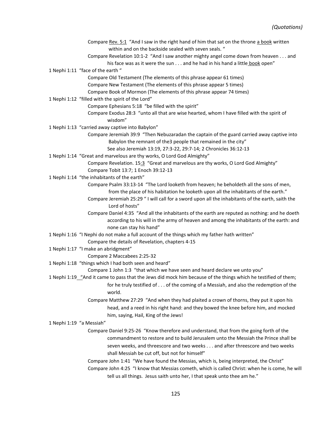Compare Rev. 5:1 "And I saw in the right hand of him that sat on the throne a book written within and on the backside sealed with seven seals. " Compare Revelation 10:1-2 "And I saw another mighty angel come down from heaven . . . and his face was as it were the sun . . . and he had in his hand a little book open" 1 Nephi 1:11 "face of the earth " Compare Old Testament (The elements of this phrase appear 61 times) Compare New Testament (The elements of this phrase appear 5 times) Compare Book of Mormon (The elements of this phrase appear 74 times) 1 Nephi 1:12 "filled with the spirit of the Lord" Compare Ephesians 5:18 "be filled with the spirit" Compare Exodus 28:3 "unto all that are wise hearted, whom I have filled with the spirit of wisdom" 1 Nephi 1:13 "carried away captive into Babylon" Compare Jeremiah 39:9 "Then Nebuzaradan the captain of the guard carried away captive into Babylon the remnant of the3 people that remained in the city" See also Jeremiah 13:19, 27:3-22, 29:7-14; 2 Chronicles 36:12-13 1 Nephi 1:14 "Great and marvelous are thy works, O Lord God Almighty" Compare Revelation. 15:3 "Great and marvelous are thy works, O Lord God Almighty" Compare Tobit 13:7; 1 Enoch 39:12-13 1 Nephi 1:14 "the inhabitants of the earth" Compare Psalm 33:13-14 "The Lord looketh from heaven; he beholdeth all the sons of men, from the place of his habitation he looketh upon all the inhabitants of the earth." Compare Jeremiah 25:29 " I will call for a sword upon all the inhabitants of the earth, saith the Lord of hosts" Compare Daniel 4:35 "And all the inhabitants of the earth are reputed as nothing: and he doeth according to his will in the army of heaven and among the inhabitants of the earth: and none can stay his hand" 1 Nephi 1:16 "I Nephi do not make a full account of the things which my father hath written" Compare the details of Revelation, chapters 4-15 1 Nephi 1:17 "I make an abridgment" Compare 2 Maccabees 2:25-32 1 Nephi 1:18 "things which I had both seen and heard" Compare 1 John 1:3 "that which we have seen and heard declare we unto you" 1 Nephi 1:19 "And it came to pass that the Jews did mock him because of the things which he testified of them; for he truly testified of . . . of the coming of a Messiah, and also the redemption of the world. Compare Matthew 27:29 "And when they had plaited a crown of thorns, they put it upon his head, and a reed in his right hand: and they bowed the knee before him, and mocked him, saying, Hail, King of the Jews! 1 Nephi 1:19 "a Messiah" Compare Daniel 9:25-26 "Know therefore and understand, that from the going forth of the commandment to restore and to build Jerusalem unto the Messiah the Prince shall be seven weeks, and threescore and two weeks . . . and after threescore and two weeks shall Messiah be cut off, but not for himself" Compare John 1:41 "We have found the Messias, which is, being interpreted, the Christ" Compare John 4:25 "I know that Messias cometh, which is called Christ: when he is come, he will tell us all things. Jesus saith unto her, I that speak unto thee am he."